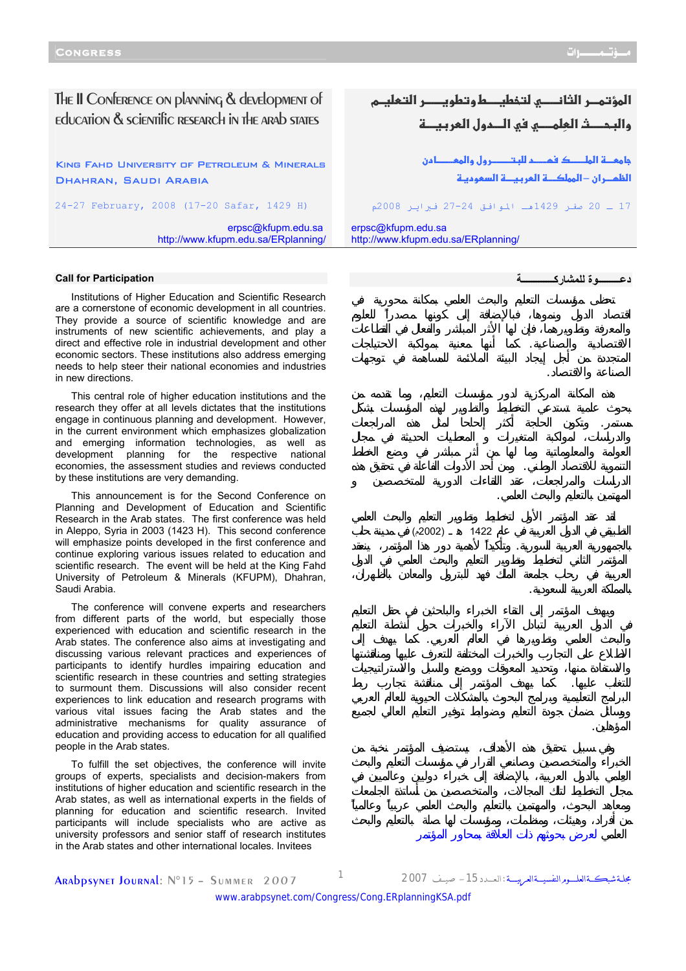The II Conference on planning & development of education & scientific research in the arab states

King Fahd University of Petroleum & Minerals Dhahran, Saudi Arabia

24-27 February, 2008 (17-20 Safar, 1429 H)

erpsc@kfupm.edu.sa <http://www.kfupm.edu.sa/ERplanning/>

## المؤتمـر الثانــــى لتخطيـــط وتطويــــر التعليــم والبحـــث العلمـــي في الـــدول العر**يب**ـــة

**جامعـــة الملـــــك فمــــد للبـتــــــــرول والمعــــــادن** الظمـران –المملكــة العربيــة السعوديـة

17 ـ 20 صفر 1429هـ الموافق 27-24 فبراير 2008م

الاقتصادية والصناعية. كما أنها معنية بمواكبة الاحتياجات

مستمر. وتكون الحاجة أكثر إلحاحا لمثل هذه المراجعات

التنموية للاقتصاد الوطني. ومن أحد الأدوات الفاعلة في تحقيق هذه

بالجمهورية العربية السورية. وتأكيداً لأهمية دور هذا المؤتمر، ينعقد

والبحث العلمي وتطويرها في العالم العربي. كما يهدف إلى

للتغلب عليها. كما يهدف المؤتمر إلى مناقشة تجارب ربط

 $(2002)$  1422

erpsc@kfupm.edu.sa <http://www.kfupm.edu.sa/ERplanning/>

**دعـــــــــوة للمشارآـــــــــــــة**

الصناعة والاقتصاد.

المهتمين بالتعليم والبحث العلمي.

بالمملكة العربية السعودية.

المؤهلين.

## **Call for Participation**

Institutions of Higher Education and Scientific Research are a cornerstone of economic development in all countries. They provide a source of scientific knowledge and are instruments of new scientific achievements, and play a direct and effective role in industrial development and other economic sectors. These institutions also address emerging needs to help steer their national economies and industries in new directions.

This central role of higher education institutions and the research they offer at all levels dictates that the institutions engage in continuous planning and development. However, in the current environment which emphasizes globalization and emerging information technologies, as well as development planning for the respective national economies, the assessment studies and reviews conducted by these institutions are very demanding.

This announcement is for the Second Conference on Planning and Development of Education and Scientific Research in the Arab states. The first conference was held in Aleppo, Syria in 2003 (1423 H). This second conference will emphasize points developed in the first conference and continue exploring various issues related to education and scientific research. The event will be held at the King Fahd University of Petroleum & Minerals (KFUPM), Dhahran, Saudi Arabia.

The conference will convene experts and researchers from different parts of the world, but especially those experienced with education and scientific research in the Arab states. The conference also aims at investigating and discussing various relevant practices and experiences of participants to identify hurdles impairing education and scientific research in these countries and setting strategies to surmount them. Discussions will also consider recent experiences to link education and research programs with various vital issues facing the Arab states and the administrative mechanisms for quality assurance of education and providing access to education for all qualified people in the Arab states.

To fulfill the set objectives, the conference will invite groups of experts, specialists and decision-makers from institutions of higher education and scientific research in the Arab states, as well as international experts in the fields of planning for education and scientific research. Invited participants will include specialists who are active as university professors and senior staff of research institutes in the Arab states and other international locales. Invitees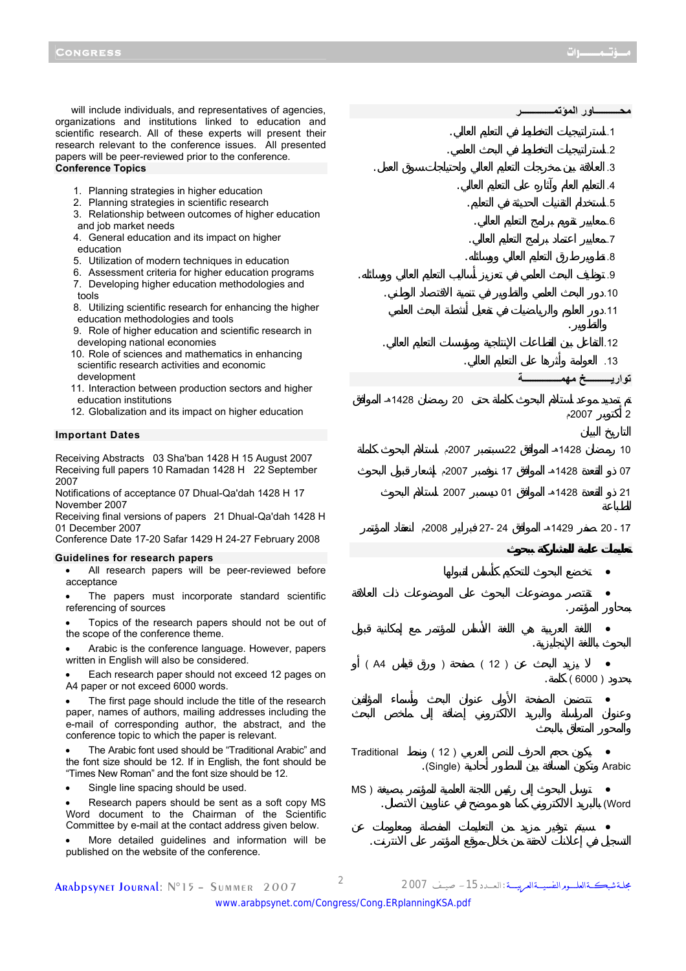will include individuals, and representatives of agencies, organizations and institutions linked to education and scientific research. All of these experts will present their research relevant to the conference issues. All presented papers will be peer-reviewed prior to the conference. **Conference Topics** 

- 1. Planning strategies in higher education
- 2. Planning strategies in scientific research
- 3. Relationship between outcomes of higher education and job market needs
- 4. General education and its impact on higher education
- 5. Utilization of modern techniques in education
- 6. Assessment criteria for higher education programs
- 7. Developing higher education methodologies and tools
- 8. Utilizing scientific research for enhancing the higher education methodologies and tools
- 9. Role of higher education and scientific research in developing national economies
- 10. Role of sciences and mathematics in enhancing scientific research activities and economic development
- 11. Interaction between production sectors and higher education institutions
- 12. Globalization and its impact on higher education

## **Important Dates**

Receiving Abstracts 03 Sha'ban 1428 H 15 August 2007 Receiving full papers 10 Ramadan 1428 H 22 September 2007

Notifications of acceptance 07 Dhual-Qa'dah 1428 H 17 November 2007

Receiving final versions of papers 21 Dhual-Qa'dah 1428 H 01 December 2007

Conference Date 17-20 Safar 1429 H 24-27 February 2008

## **Guidelines for research papers**

All research papers will be peer-reviewed before acceptance

The papers must incorporate standard scientific referencing of sources

Topics of the research papers should not be out of the scope of the conference theme.

• Arabic is the conference language. However, papers written in English will also be considered.

• Each research paper should not exceed 12 pages on A4 paper or not exceed 6000 words.

The first page should include the title of the research paper, names of authors, mailing addresses including the e-mail of corresponding author, the abstract, and the conference topic to which the paper is relevant.

• The Arabic font used should be "Traditional Arabic" and the font size should be 12. If in English, the font should be "Times New Roman" and the font size should be 12.

Single line spacing should be used.

Research papers should be sent as a soft copy MS Word document to the Chairman of the Scientific Committee by e-mail at the contact address given below.

• More detailed guidelines and information will be published on the website of the conference.

|             |                   |           | ـاور المؤتم |                         |
|-------------|-------------------|-----------|-------------|-------------------------|
|             |                   |           |             | $\cdot$ 1               |
|             |                   |           |             | $.2\phantom{0}$         |
|             |                   |           |             | .3                      |
|             |                   |           |             | $\overline{A}$          |
|             |                   |           |             | .5                      |
|             |                   |           |             | .6                      |
|             |                   |           |             | $\cdot$                 |
|             |                   |           |             | .8                      |
|             |                   |           |             | .9                      |
|             |                   |           |             | .10                     |
|             |                   |           |             | .11                     |
|             |                   |           |             | .12                     |
|             |                   |           |             | .13                     |
|             |                   | ä         | تخ ه        | <mark>تواریــــ</mark>  |
| 1428هـ      | 20                |           |             |                         |
|             |                   |           | 2007م       | $\overline{\mathbf{c}}$ |
|             | 2007م             | 22        | 1428ھ       | 10                      |
|             | 2007م             | $17\,$    | 1428ھ       | 07                      |
|             | 2007              | 01        | 1428ھ       | 21                      |
|             | 2008م             | $27 - 24$ | 1429هـ      | $20 - 17$               |
|             |                   |           |             |                         |
|             |                   |           |             |                         |
|             |                   |           |             |                         |
|             |                   |           |             |                         |
|             |                   |           |             |                         |
|             |                   |           |             |                         |
| (A4)        | $\big)$           | (12)      | (6000)      |                         |
|             |                   |           |             |                         |
|             |                   |           |             |                         |
|             |                   |           |             |                         |
| Traditional | (12)<br>.(Single) |           |             | Arabic                  |
|             |                   |           |             |                         |
| MS)         |                   |           |             | (Word                   |

Arabpsynet Journal: N°15 – Summer 2007 <sup>2</sup> <sup>2007</sup> صيـــف -15الـعــــدد: مجلــةشبكـــةالعلــــــومالنفسيــــةالعربيـــــة

التسجيل في إعلانات لاحقة من خلال موقع المؤتمر على الانترنت.

• سيتم توفير مزيد من التعليمات المفصلة ومعلومات عن